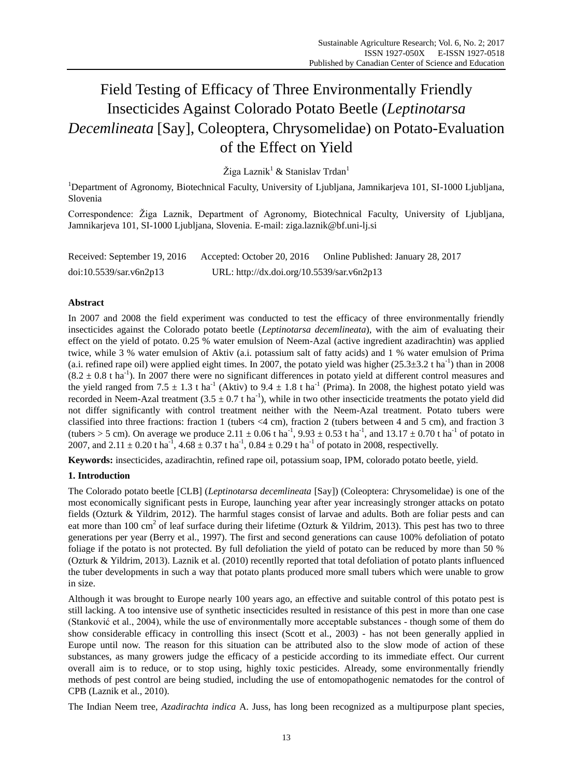# Field Testing of Efficacy of Three Environmentally Friendly Insecticides Against Colorado Potato Beetle (*Leptinotarsa Decemlineata* [Say], Coleoptera, Chrysomelidae) on Potato-Evaluation of the Effect on Yield

Žiga Laznik<sup>1</sup> & Stanislav Trdan<sup>1</sup>

<sup>1</sup>Department of Agronomy, Biotechnical Faculty, University of Ljubljana, Jamnikarjeva 101, SI-1000 Ljubljana, Slovenia

Correspondence: Žiga Laznik, Department of Agronomy, Biotechnical Faculty, University of Ljubljana, Jamnikarjeva 101, SI-1000 Ljubljana, Slovenia. E-mail: ziga.laznik@bf.uni-lj.si

Received: September 19, 2016 Accepted: October 20, 2016 Online Published: January 28, 2017 doi:10.5539/sar.v6n2p13 URL: http://dx.doi.org/10.5539/sar.v6n2p13

## **Abstract**

In 2007 and 2008 the field experiment was conducted to test the efficacy of three environmentally friendly insecticides against the Colorado potato beetle (*Leptinotarsa decemlineata*), with the aim of evaluating their effect on the yield of potato. 0.25 % water emulsion of Neem-Azal (active ingredient azadirachtin) was applied twice, while 3 % water emulsion of Aktiv (a.i. potassium salt of fatty acids) and 1 % water emulsion of Prima (a.i. refined rape oil) were applied eight times. In 2007, the potato yield was higher  $(25.3 \pm 3.2 \text{ t} \text{ ha}^{-1})$  than in 2008  $(8.2 \pm 0.8 \text{ t} \text{ ha}^{-1})$ . In 2007 there were no significant differences in potato yield at different control measures and the yield ranged from 7.5  $\pm$  1.3 t ha<sup>-1</sup> (Aktiv) to 9.4  $\pm$  1.8 t ha<sup>-1</sup> (Prima). In 2008, the highest potato yield was recorded in Neem-Azal treatment  $(3.5 \pm 0.7 \text{ t ha}^{-1})$ , while in two other insecticide treatments the potato yield did not differ significantly with control treatment neither with the Neem-Azal treatment. Potato tubers were classified into three fractions: fraction 1 (tubers <4 cm), fraction 2 (tubers between 4 and 5 cm), and fraction 3 (tubers > 5 cm). On average we produce 2.11  $\pm 0.06$  t ha<sup>-1</sup>, 9.93  $\pm 0.53$  t ha<sup>-1</sup>, and 13.17  $\pm 0.70$  t ha<sup>-1</sup> of potato in 2007, and 2.11  $\pm$  0.20 t ha<sup>-1</sup>, 4.68  $\pm$  0.37 t ha<sup>-1</sup>, 0.84  $\pm$  0.29 t ha<sup>-1</sup> of potato in 2008, respectivelly.

**Keywords:** insecticides, azadirachtin, refined rape oil, potassium soap, IPM, colorado potato beetle, yield.

## **1. Introduction**

The Colorado potato beetle [CLB] (*Leptinotarsa decemlineata* [Say]) (Coleoptera: Chrysomelidae) is one of the most economically significant pests in Europe, launching year after year increasingly stronger attacks on potato fields (Ozturk & Yildrim, 2012). The harmful stages consist of larvae and adults. Both are foliar pests and can eat more than 100 cm<sup>2</sup> of leaf surface during their lifetime (Ozturk & Yildrim, 2013). This pest has two to three generations per year (Berry et al., 1997). The first and second generations can cause 100% defoliation of potato foliage if the potato is not protected. By full defoliation the yield of potato can be reduced by more than 50 % (Ozturk & Yildrim, 2013). Laznik et al. (2010) recentlly reported that total defoliation of potato plants influenced the tuber developments in such a way that potato plants produced more small tubers which were unable to grow in size.

Although it was brought to Europe nearly 100 years ago, an effective and suitable control of this potato pest is still lacking. A too intensive use of synthetic insecticides resulted in resistance of this pest in more than one case (Stanković et al., 2004), while the use of environmentally more acceptable substances - though some of them do show considerable efficacy in controlling this insect (Scott et al., 2003) - has not been generally applied in Europe until now. The reason for this situation can be attributed also to the slow mode of action of these substances, as many growers judge the efficacy of a pesticide according to its immediate effect. Our current overall aim is to reduce, or to stop using, highly toxic pesticides. Already, some environmentally friendly methods of pest control are being studied, including the use of entomopathogenic nematodes for the control of CPB (Laznik et al., 2010).

The Indian Neem tree, *Azadirachta indica* A. Juss, has long been recognized as a multipurpose plant species,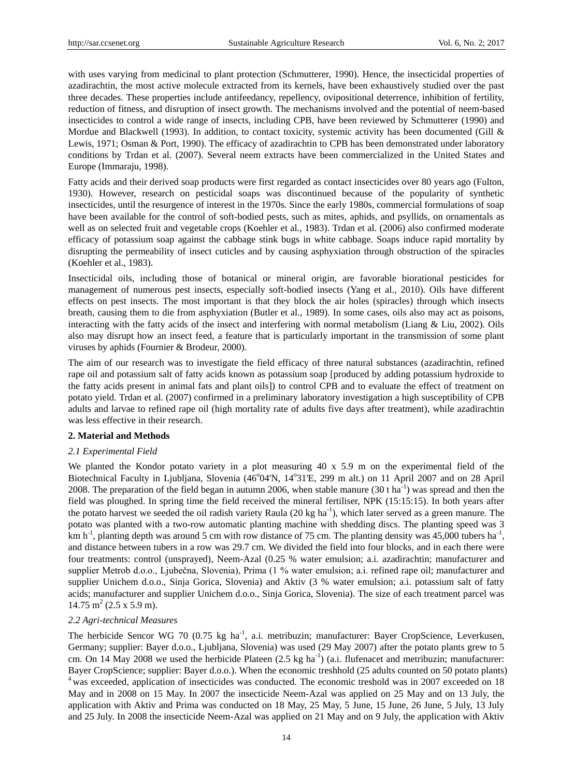with uses varying from medicinal to plant protection (Schmutterer, 1990). Hence, the insecticidal properties of azadirachtin, the most active molecule extracted from its kernels, have been exhaustively studied over the past three decades. These properties include antifeedancy, repellency, ovipositional deterrence, inhibition of fertility, reduction of fitness, and disruption of insect growth. The mechanisms involved and the potential of neem-based insecticides to control a wide range of insects, including CPB, have been reviewed by Schmutterer (1990) and Mordue and Blackwell (1993). In addition, to contact toxicity, systemic activity has been documented (Gill & Lewis, 1971; Osman & Port, 1990). The efficacy of azadirachtin to CPB has been demonstrated under laboratory conditions by Trdan et al. (2007). Several neem extracts have been commercialized in the United States and Europe (Immaraju, 1998).

Fatty acids and their derived soap products were first regarded as contact insecticides over 80 years ago (Fulton, 1930). However, research on pesticidal soaps was discontinued because of the popularity of synthetic insecticides, until the resurgence of interest in the 1970s. Since the early 1980s, commercial formulations of soap have been available for the control of soft-bodied pests, such as mites, aphids, and psyllids, on ornamentals as well as on selected fruit and vegetable crops (Koehler et al., 1983). Trdan et al. (2006) also confirmed moderate efficacy of potassium soap against the cabbage stink bugs in white cabbage. Soaps induce rapid mortality by disrupting the permeability of insect cuticles and by causing asphyxiation through obstruction of the spiracles (Koehler et al., 1983).

Insecticidal oils, including those of botanical or mineral origin, are favorable biorational pesticides for management of numerous pest insects, especially soft-bodied insects (Yang et al., 2010). Oils have different effects on pest insects. The most important is that they block the air holes (spiracles) through which insects breath, causing them to die from asphyxiation (Butler et al., 1989). In some cases, oils also may act as poisons, interacting with the fatty acids of the insect and interfering with normal metabolism (Liang & Liu, 2002). Oils also may disrupt how an insect feed, a feature that is particularly important in the transmission of some plant viruses by aphids (Fournier & Brodeur, 2000).

The aim of our research was to investigate the field efficacy of three natural substances (azadirachtin, refined rape oil and potassium salt of fatty acids known as potassium soap [produced by adding potassium hydroxide to the fatty acids present in animal fats and plant oils]) to control CPB and to evaluate the effect of treatment on potato yield. Trdan et al. (2007) confirmed in a preliminary laboratory investigation a high susceptibility of CPB adults and larvae to refined rape oil (high mortality rate of adults five days after treatment), while azadirachtin was less effective in their research.

#### **2. Material and Methods**

#### *2.1 Experimental Field*

We planted the Kondor potato variety in a plot measuring 40 x 5.9 m on the experimental field of the Biotechnical Faculty in Ljubljana, Slovenia (46°04'N, 14°31'E, 299 m alt.) on 11 April 2007 and on 28 April 2008. The preparation of the field began in autumn 2006, when stable manure  $(30 \text{ t} \text{ ha}^{-1})$  was spread and then the field was ploughed. In spring time the field received the mineral fertiliser, NPK (15:15:15). In both years after the potato harvest we seeded the oil radish variety Raula  $(20 \text{ kg ha}^{-1})$ , which later served as a green manure. The potato was planted with a two-row automatic planting machine with shedding discs. The planting speed was 3 km h<sup>-1</sup>, planting depth was around 5 cm with row distance of 75 cm. The planting density was 45,000 tubers ha<sup>-1</sup>, and distance between tubers in a row was 29.7 cm. We divided the field into four blocks, and in each there were four treatments: control (unsprayed), Neem-Azal (0.25 % water emulsion; a.i. azadirachtin; manufacturer and supplier Metrob d.o.o., Ljubečna, Slovenia), Prima (1 % water emulsion; a.i. refined rape oil; manufacturer and supplier Unichem d.o.o., Sinja Gorica, Slovenia) and Aktiv (3 % water emulsion; a.i. potassium salt of fatty acids; manufacturer and supplier Unichem d.o.o., Sinja Gorica, Slovenia). The size of each treatment parcel was  $14.75 \text{ m}^2 (2.5 \text{ x } 5.9 \text{ m}).$ 

#### *2.2 Agri-technical Measures*

The herbicide Sencor WG 70 (0.75 kg ha<sup>-1</sup>, a.i. metribuzin; manufacturer: Bayer CropScience, Leverkusen, Germany; supplier: Bayer d.o.o., Ljubljana, Slovenia) was used (29 May 2007) after the potato plants grew to 5 cm. On 14 May 2008 we used the herbicide Plateen  $(2.5 \text{ kg ha}^{-1})$   $(a.i.$  flufenacet and metribuzin; manufacturer: Bayer CropScience; supplier: Bayer d.o.o.). When the economic treshhold (25 adults counted on 50 potato plants) <sup>4</sup> was exceeded, application of insecticides was conducted. The economic treshold was in 2007 exceeded on 18 May and in 2008 on 15 May. In 2007 the insecticide Neem-Azal was applied on 25 May and on 13 July, the application with Aktiv and Prima was conducted on 18 May, 25 May, 5 June, 15 June, 26 June, 5 July, 13 July and 25 July. In 2008 the insecticide Neem-Azal was applied on 21 May and on 9 July, the application with Aktiv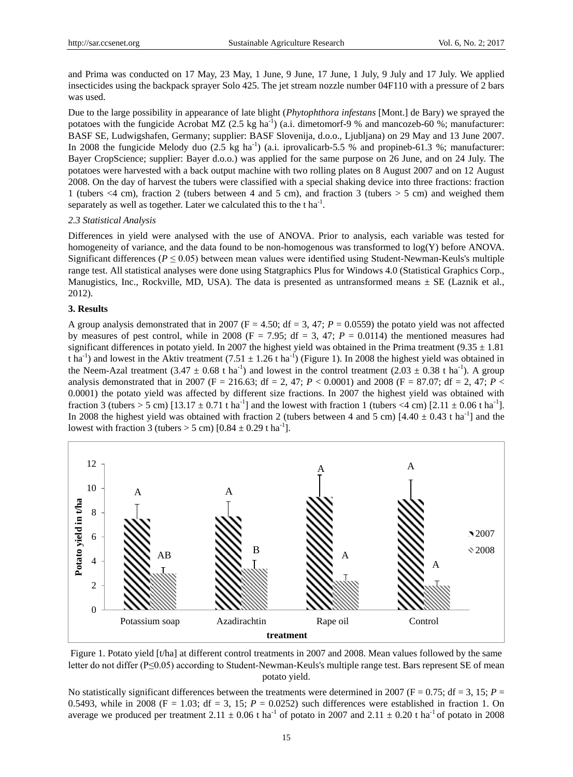and Prima was conducted on 17 May, 23 May, 1 June, 9 June, 17 June, 1 July, 9 July and 17 July. We applied insecticides using the backpack sprayer Solo 425. The jet stream nozzle number 04F110 with a pressure of 2 bars was used.

Due to the large possibility in appearance of late blight (*Phytophthora infestans* [Mont.] de Bary) we sprayed the potatoes with the fungicide Acrobat MZ  $(2.5 \text{ kg ha}^{-1})$  (a.i. dimetomorf-9 % and mancozeb-60 %; manufacturer: BASF SE, Ludwigshafen, Germany; supplier: BASF Slovenija, d.o.o., Ljubljana) on 29 May and 13 June 2007. In 2008 the fungicide Melody duo  $(2.5 \text{ kg ha}^{-1})$   $(a.i. \text{iprovalicarb-5.5 } %$  and propineb-61.3 %; manufacturer: Bayer CropScience; supplier: Bayer d.o.o.) was applied for the same purpose on 26 June, and on 24 July. The potatoes were harvested with a back output machine with two rolling plates on 8 August 2007 and on 12 August 2008. On the day of harvest the tubers were classified with a special shaking device into three fractions: fraction 1 (tubers <4 cm), fraction 2 (tubers between 4 and 5 cm), and fraction 3 (tubers > 5 cm) and weighed them separately as well as together. Later we calculated this to the  $t$  ha<sup>-1</sup>.

#### *2.3 Statistical Analysis*

Differences in yield were analysed with the use of ANOVA. Prior to analysis, each variable was tested for homogeneity of variance, and the data found to be non-homogenous was transformed to log(Y) before ANOVA. Significant differences ( $P \le 0.05$ ) between mean values were identified using Student-Newman-Keuls's multiple range test. All statistical analyses were done using Statgraphics Plus for Windows 4.0 (Statistical Graphics Corp., Manugistics, Inc., Rockville, MD, USA). The data is presented as untransformed means  $\pm$  SE (Laznik et al., 2012).

#### **3. Results**

A group analysis demonstrated that in 2007 ( $F = 4.50$ ;  $df = 3$ , 47;  $P = 0.0559$ ) the potato yield was not affected by measures of pest control, while in 2008 ( $F = 7.95$ ; df = 3, 47;  $P = 0.0114$ ) the mentioned measures had significant differences in potato yield. In 2007 the highest yield was obtained in the Prima treatment (9.35  $\pm$  1.81) t ha<sup>-1</sup>) and lowest in the Aktiv treatment (7.51  $\pm$ 1.26 t ha<sup>-1</sup>) (Figure 1). In 2008 the highest yield was obtained in the Neem-Azal treatment  $(3.47 \pm 0.68 \text{ t} \text{ ha}^{-1})$  and lowest in the control treatment  $(2.03 \pm 0.38 \text{ t} \text{ ha}^{-1})$ . A group analysis demonstrated that in 2007 (F = 216.63; df = 2, 47; *P* < 0.0001) and 2008 (F = 87.07; df = 2, 47; *P* < 0.0001) the potato yield was affected by different size fractions. In 2007 the highest yield was obtained with fraction 3 (tubers > 5 cm)  $[13.17 \pm 0.71$  t ha<sup>-1</sup>] and the lowest with fraction 1 (tubers <4 cm)  $[2.11 \pm 0.06$  t ha<sup>-1</sup>]. In 2008 the highest yield was obtained with fraction 2 (tubers between 4 and 5 cm)  $[4.40 \pm 0.43$  t ha<sup>-1</sup>] and the lowest with fraction 3 (tubers  $>$  5 cm) [0.84  $\pm$ 0.29 t ha<sup>-1</sup>].



Figure 1. Potato yield [t/ha] at different control treatments in 2007 and 2008. Mean values followed by the same letter do not differ (P≤0.05) according to Student-Newman-Keuls's multiple range test. Bars represent SE of mean potato yield.

No statistically significant differences between the treatments were determined in 2007 ( $F = 0.75$ ;  $df = 3$ , 15;  $P =$ 0.5493, while in 2008 (F = 1.03; df = 3, 15;  $P = 0.0252$ ) such differences were established in fraction 1. On average we produced per treatment 2.11  $\pm 0.06$  t ha<sup>-1</sup> of potato in 2007 and 2.11  $\pm 0.20$  t ha<sup>-1</sup> of potato in 2008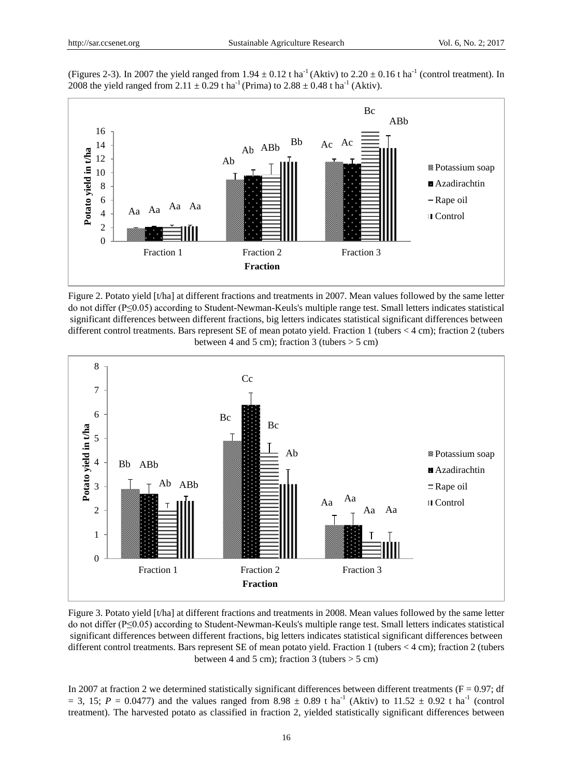(Figures 2-3). In 2007 the yield ranged from 1.94  $\pm 0.12$  t ha<sup>-1</sup> (Aktiv) to 2.20  $\pm 0.16$  t ha<sup>-1</sup> (control treatment). In 2008 the yield ranged from 2.11  $\pm 0.29$  t ha<sup>-1</sup> (Prima) to 2.88  $\pm 0.48$  t ha<sup>-1</sup> (Aktiv).



Figure 2. Potato yield [t/ha] at different fractions and treatments in 2007. Mean values followed by the same letter do not differ (P≤0.05) according to Student-Newman-Keuls's multiple range test. Small letters indicates statistical significant differences between different fractions, big letters indicates statistical significant differences between different control treatments. Bars represent SE of mean potato yield. Fraction 1 (tubers < 4 cm); fraction 2 (tubers between 4 and 5 cm); fraction 3 (tubers  $>$  5 cm)



Figure 3. Potato yield [t/ha] at different fractions and treatments in 2008. Mean values followed by the same letter do not differ (P≤0.05) according to Student-Newman-Keuls's multiple range test. Small letters indicates statistical significant differences between different fractions, big letters indicates statistical significant differences between different control treatments. Bars represent SE of mean potato yield. Fraction 1 (tubers < 4 cm); fraction 2 (tubers between 4 and 5 cm); fraction 3 (tubers  $>$  5 cm)

In 2007 at fraction 2 we determined statistically significant differences between different treatments ( $F = 0.97$ ; df  $= 3$ , 15; *P* = 0.0477) and the values ranged from 8.98  $\pm$  0.89 t ha<sup>-1</sup> (Aktiv) to 11.52  $\pm$  0.92 t ha<sup>-1</sup> (control treatment). The harvested potato as classified in fraction 2, yielded statistically significant differences between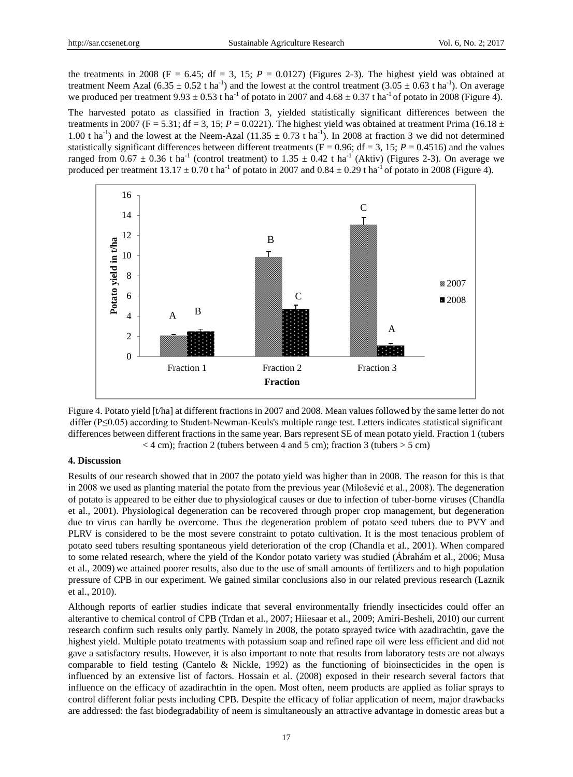the treatments in 2008 (F = 6.45; df = 3, 15;  $P = 0.0127$ ) (Figures 2-3). The highest yield was obtained at treatment Neem Azal (6.35  $\pm$  0.52 t ha<sup>-1</sup>) and the lowest at the control treatment (3.05  $\pm$  0.63 t ha<sup>-1</sup>). On average we produced per treatment 9.93  $\pm 0.53$  t ha<sup>-1</sup> of potato in 2007 and 4.68  $\pm 0.37$  t ha<sup>-1</sup> of potato in 2008 (Figure 4).

The harvested potato as classified in fraction 3, yielded statistically significant differences between the treatments in 2007 (F = 5.31; df = 3, 15;  $P = 0.0221$ ). The highest yield was obtained at treatment Prima (16.18  $\pm$ 1.00 t ha<sup>-1</sup>) and the lowest at the Neem-Azal (11.35  $\pm$  0.73 t ha<sup>-1</sup>). In 2008 at fraction 3 we did not determined statistically significant differences between different treatments ( $F = 0.96$ ; df = 3, 15;  $P = 0.4516$ ) and the values ranged from 0.67  $\pm$  0.36 t ha<sup>-1</sup> (control treatment) to 1.35  $\pm$  0.42 t ha<sup>-1</sup> (Aktiv) (Figures 2-3). On average we produced per treatment  $13.17 \pm 0.70$  t ha<sup>-1</sup> of potato in 2007 and 0.84  $\pm$ 0.29 t ha<sup>-1</sup> of potato in 2008 (Figure 4).





#### **4. Discussion**

Results of our research showed that in 2007 the potato yield was higher than in 2008. The reason for this is that in 2008 we used as planting material the potato from the previous year (Milošević et al., 2008). The degeneration of potato is appeared to be either due to physiological causes or due to infection of tuber-borne viruses (Chandla et al., 2001). Physiological degeneration can be recovered through proper crop management, but degeneration due to virus can hardly be overcome. Thus the degeneration problem of potato seed tubers due to PVY and PLRV is considered to be the most severe constraint to potato cultivation. It is the most tenacious problem of potato seed tubers resulting spontaneous yield deterioration of the crop (Chandla et al., 2001). When compared to some related research, where the yield of the Kondor potato variety was studied (Ábrahám et al., 2006; Musa et al., 2009) we attained poorer results, also due to the use of small amounts of fertilizers and to high population pressure of CPB in our experiment. We gained similar conclusions also in our related previous research (Laznik et al., 2010).

Although reports of earlier studies indicate that several environmentally friendly insecticides could offer an alterantive to chemical control of CPB (Trdan et al., 2007; Hiiesaar et al., 2009; Amiri-Besheli, 2010) our current research confirm such results only partly. Namely in 2008, the potato sprayed twice with azadirachtin, gave the highest yield. Multiple potato treatments with potassium soap and refined rape oil were less efficient and did not gave a satisfactory results. However, it is also important to note that results from laboratory tests are not always comparable to field testing (Cantelo & Nickle, 1992) as the functioning of bioinsecticides in the open is influenced by an extensive list of factors. Hossain et al. (2008) exposed in their research several factors that influence on the efficacy of azadirachtin in the open. Most often, neem products are applied as foliar sprays to control different foliar pests including CPB. Despite the efficacy of foliar application of neem, major drawbacks are addressed: the fast biodegradability of neem is simultaneously an attractive advantage in domestic areas but a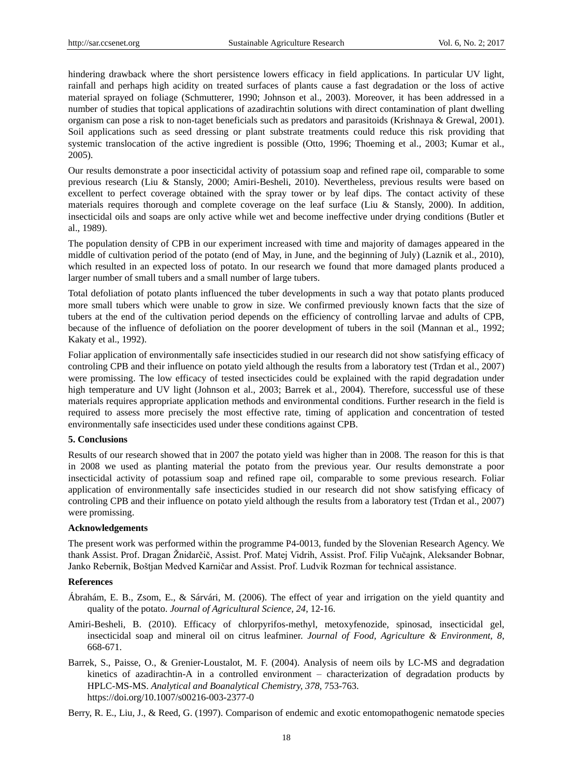hindering drawback where the short persistence lowers efficacy in field applications. In particular UV light, rainfall and perhaps high acidity on treated surfaces of plants cause a fast degradation or the loss of active material sprayed on foliage (Schmutterer, 1990; Johnson et al., 2003). Moreover, it has been addressed in a number of studies that topical applications of azadirachtin solutions with direct contamination of plant dwelling organism can pose a risk to non-taget beneficials such as predators and parasitoids (Krishnaya & Grewal, 2001). Soil applications such as seed dressing or plant substrate treatments could reduce this risk providing that systemic translocation of the active ingredient is possible (Otto, 1996; Thoeming et al., 2003; Kumar et al., 2005).

Our results demonstrate a poor insecticidal activity of potassium soap and refined rape oil, comparable to some previous research (Liu & Stansly, 2000; Amiri-Besheli, 2010). Nevertheless, previous results were based on excellent to perfect coverage obtained with the spray tower or by leaf dips. The contact activity of these materials requires thorough and complete coverage on the leaf surface (Liu & Stansly, 2000). In addition, insecticidal oils and soaps are only active while wet and become ineffective under drying conditions (Butler et al., 1989).

The population density of CPB in our experiment increased with time and majority of damages appeared in the middle of cultivation period of the potato (end of May, in June, and the beginning of July) (Laznik et al., 2010), which resulted in an expected loss of potato. In our research we found that more damaged plants produced a larger number of small tubers and a small number of large tubers.

Total defoliation of potato plants influenced the tuber developments in such a way that potato plants produced more small tubers which were unable to grow in size. We confirmed previously known facts that the size of tubers at the end of the cultivation period depends on the efficiency of controlling larvae and adults of CPB, because of the influence of defoliation on the poorer development of tubers in the soil (Mannan et al., 1992; Kakaty et al., 1992).

Foliar application of environmentally safe insecticides studied in our research did not show satisfying efficacy of controling CPB and their influence on potato yield although the results from a laboratory test (Trdan et al., 2007) were promissing. The low efficacy of tested insecticides could be explained with the rapid degradation under high temperature and UV light (Johnson et al., 2003; Barrek et al., 2004). Therefore, successful use of these materials requires appropriate application methods and environmental conditions. Further research in the field is required to assess more precisely the most effective rate, timing of application and concentration of tested environmentally safe insecticides used under these conditions against CPB.

#### **5. Conclusions**

Results of our research showed that in 2007 the potato yield was higher than in 2008. The reason for this is that in 2008 we used as planting material the potato from the previous year. Our results demonstrate a poor insecticidal activity of potassium soap and refined rape oil, comparable to some previous research. Foliar application of environmentally safe insecticides studied in our research did not show satisfying efficacy of controling CPB and their influence on potato yield although the results from a laboratory test (Trdan et al., 2007) were promissing.

#### **Acknowledgements**

The present work was performed within the programme P4-0013, funded by the Slovenian Research Agency. We thank Assist. Prof. Dragan Žnidarčič, Assist. Prof. Matej Vidrih, Assist. Prof. Filip Vučajnk, Aleksander Bobnar, Janko Rebernik, Boštjan Medved Karničar and Assist. Prof. Ludvik Rozman for technical assistance.

#### **References**

- Ábrahám, E. B., Zsom, E., & Sárvári, M. (2006). The effect of year and irrigation on the yield quantity and quality of the potato. *Journal of Agricultural Science, 24*, 12-16.
- Amiri-Besheli, B. (2010). Efficacy of chlorpyrifos-methyl, metoxyfenozide, spinosad, insecticidal gel, insecticidal soap and mineral oil on citrus leafminer. *Journal of Food, Agriculture & Environment, 8*, 668-671.
- Barrek, S., Paisse, O., & Grenier-Loustalot, M. F. (2004). Analysis of neem oils by LC-MS and degradation kinetics of azadirachtin-A in a controlled environment – characterization of degradation products by HPLC-MS-MS. *Analytical and Boanalytical Chemistry, 378*, 753-763. https://doi.org/10.1007/s00216-003-2377-0

Berry, R. E., Liu, J., & Reed, G. (1997). Comparison of endemic and exotic entomopathogenic nematode species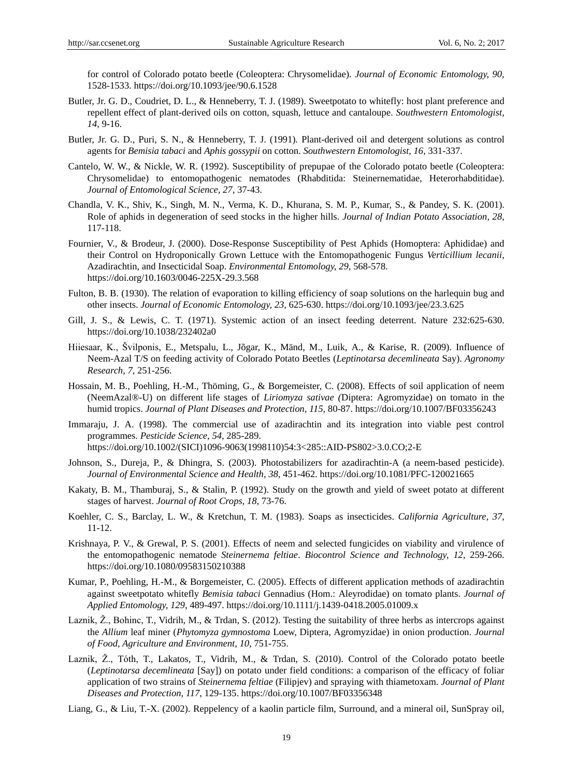for control of Colorado potato beetle (Coleoptera: Chrysomelidae). *Journal of Economic Entomology, 90,* 1528-1533. https://doi.org/10.1093/jee/90.6.1528

- Butler, Jr. G. D., Coudriet, D. L., & Henneberry, T. J. (1989). Sweetpotato to whitefly: host plant preference and repellent effect of plant-derived oils on cotton, squash, lettuce and cantaloupe. *Southwestern Entomologist, 14*, 9-16.
- Butler, Jr. G. D., Puri, S. N., & Henneberry, T. J. (1991). Plant-derived oil and detergent solutions as control agents for *Bemisia tabaci* and *Aphis gossypii* on cotton. *Southwestern Entomologist, 16*, 331-337.
- Cantelo, W. W., & Nickle, W. R. (1992). Susceptibility of prepupae of the Colorado potato beetle (Coleoptera: Chrysomelidae) to entomopathogenic nematodes (Rhabditida: Steinernematidae, Heterorhabditidae). *Journal of Entomological Science, 27*, 37-43.
- Chandla, V. K., Shiv, K., Singh, M. N., Verma, K. D., Khurana, S. M. P., Kumar, S., & Pandey, S. K. (2001). Role of aphids in degeneration of seed stocks in the higher hills. *Journal of Indian Potato Association, 28*, 117-118.
- Fournier, V., & Brodeur, J. (2000). Dose-Response Susceptibility of Pest Aphids (Homoptera: Aphididae) and their Control on Hydroponically Grown Lettuce with the Entomopathogenic Fungus *Verticillium lecanii*, Azadirachtin, and Insecticidal Soap. *Environmental Entomology, 29*, 568-578. https://doi.org/10.1603/0046-225X-29.3.568
- Fulton, B. B. (1930). The relation of evaporation to killing efficiency of soap solutions on the harlequin bug and other insects. *Journal of Economic Entomology, 23*, 625-630. https://doi.org/10.1093/jee/23.3.625
- Gill, J. S., & Lewis, C. T. (1971). Systemic action of an insect feeding deterrent. Nature 232:625-630. https://doi.org/10.1038/232402a0
- Hiiesaar, K., Švilponis, E., Metspalu, L., Jõgar, K., Mänd, M., Luik, A., & Karise, R. (2009). Influence of Neem-Azal T/S on feeding activity of Colorado Potato Beetles (*Leptinotarsa decemlineata* Say). *Agronomy Research, 7*, 251-256.
- Hossain, M. B., Poehling, H.-M., Thöming, G., & Borgemeister, C. (2008). Effects of soil application of neem (NeemAzal®-U) on different life stages of *Liriomyza sativae (*Diptera: Agromyzidae) on tomato in the humid tropics. *Journal of Plant Diseases and Protection, 115*, 80-87. https://doi.org/10.1007/BF03356243
- Immaraju, J. A. (1998). The commercial use of azadirachtin and its integration into viable pest control programmes. *Pesticide Science, 54*, 285-289. https://doi.org/10.1002/(SICI)1096-9063(1998110)54:3<285::AID-PS802>3.0.CO;2-E
- Johnson, S., Dureja, P., & Dhingra, S. (2003). Photostabilizers for azadirachtin-A (a neem-based pesticide). *Journal of Environmental Science and Health, 38*, 451-462. https://doi.org/10.1081/PFC-120021665
- Kakaty, B. M., Thamburaj, S., & Stalin, P. (1992). Study on the growth and yield of sweet potato at different stages of harvest. *Journal of Root Crops, 18*, 73-76.
- Koehler, C. S., Barclay, L. W., & Kretchun, T. M. (1983). Soaps as insecticides. *California Agriculture, 37*, 11-12.
- Krishnaya, P. V., & Grewal, P. S. (2001). Effects of neem and selected fungicides on viability and virulence of the entomopathogenic nematode *Steinernema feltiae*. *Biocontrol Science and Technology, 12*, 259-266. https://doi.org/10.1080/09583150210388
- Kumar, P., Poehling, H.-M., & Borgemeister, C. (2005). Effects of different application methods of azadirachtin against sweetpotato whitefly *Bemisia tabaci* Gennadius (Hom.: Aleyrodidae) on tomato plants. *Journal of Applied Entomology, 129*, 489-497. https://doi.org/10.1111/j.1439-0418.2005.01009.x
- Laznik,  $\check{Z}$ ., Bohinc, T., Vidrih, M., & Trdan, S. (2012). Testing the suitability of three herbs as intercrops against the *Allium* leaf miner (*Phytomyza gymnostoma* Loew, Diptera, Agromyzidae) in onion production. *Journal of Food, Agriculture and Environment, 10*, 751-755.
- Laznik, Z., Tóth, T., Lakatos, T., Vidrih, M., & Trdan, S. (2010). Control of the Colorado potato beetle (*Leptinotarsa decemlineata* [Say]) on potato under field conditions: a comparison of the efficacy of foliar application of two strains of *Steinernema feltiae* (Filipjev) and spraying with thiametoxam. *Journal of Plant Diseases and Protection, 117*, 129-135. https://doi.org/10.1007/BF03356348
- Liang, G., & Liu, T.-X. (2002). Reppelency of a kaolin particle film, Surround, and a mineral oil, SunSpray oil,